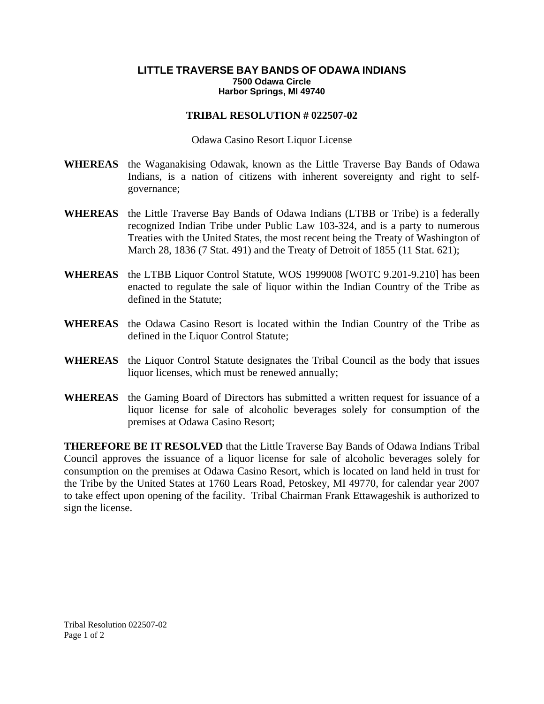## **LITTLE TRAVERSE BAY BANDS OF ODAWA INDIANS 7500 Odawa Circle Harbor Springs, MI 49740**

## **TRIBAL RESOLUTION # 022507-02**

Odawa Casino Resort Liquor License

- **WHEREAS** the Waganakising Odawak, known as the Little Traverse Bay Bands of Odawa Indians, is a nation of citizens with inherent sovereignty and right to selfgovernance;
- **WHEREAS** the Little Traverse Bay Bands of Odawa Indians (LTBB or Tribe) is a federally recognized Indian Tribe under Public Law 103-324, and is a party to numerous Treaties with the United States, the most recent being the Treaty of Washington of March 28, 1836 (7 Stat. 491) and the Treaty of Detroit of 1855 (11 Stat. 621);
- **WHEREAS** the LTBB Liquor Control Statute, WOS 1999008 [WOTC 9.201-9.210] has been enacted to regulate the sale of liquor within the Indian Country of the Tribe as defined in the Statute;
- **WHEREAS** the Odawa Casino Resort is located within the Indian Country of the Tribe as defined in the Liquor Control Statute;
- **WHEREAS** the Liquor Control Statute designates the Tribal Council as the body that issues liquor licenses, which must be renewed annually;
- **WHEREAS** the Gaming Board of Directors has submitted a written request for issuance of a liquor license for sale of alcoholic beverages solely for consumption of the premises at Odawa Casino Resort;

**THEREFORE BE IT RESOLVED** that the Little Traverse Bay Bands of Odawa Indians Tribal Council approves the issuance of a liquor license for sale of alcoholic beverages solely for consumption on the premises at Odawa Casino Resort, which is located on land held in trust for the Tribe by the United States at 1760 Lears Road, Petoskey, MI 49770, for calendar year 2007 to take effect upon opening of the facility. Tribal Chairman Frank Ettawageshik is authorized to sign the license.